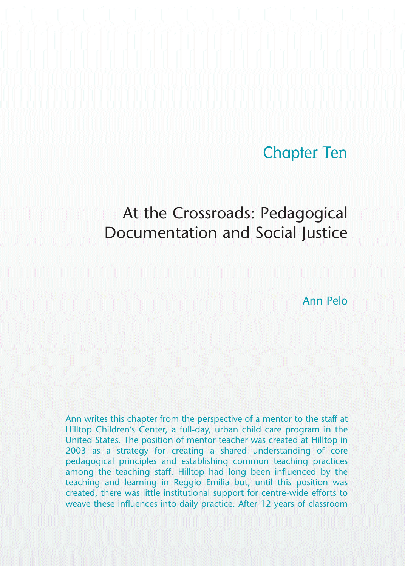# Chapter Ten

At the Crossroads: Pedagogical Documentation and Social Justice

Ann Pelo

Ann writes this chapter from the perspective of a mentor to the staff at Hilltop Children's Center, a full-day, urban child care program in the United States. The position of mentor teacher was created at Hilltop in 2003 as a strategy for creating a shared understanding of core pedagogical principles and establishing common teaching practices among the teaching staff. Hilltop had long been influenced by the teaching and learning in Reggio Emilia but, until this position was created, there was little institutional support for centre-wide efforts to weave these influences into daily practice. After 12 years of classroom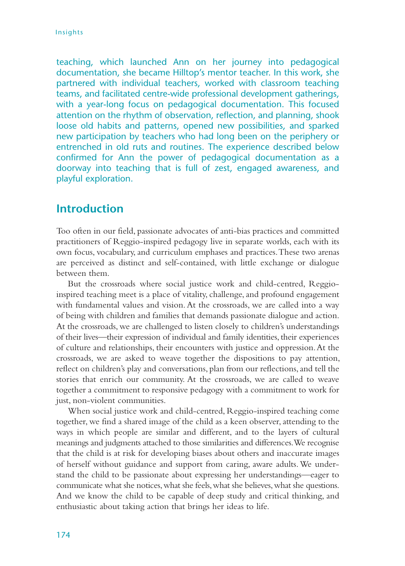teaching, which launched Ann on her journey into pedagogical documentation, she became Hilltop's mentor teacher. In this work, she partnered with individual teachers, worked with classroom teaching teams, and facilitated centre-wide professional development gatherings, with a year-long focus on pedagogical documentation. This focused attention on the rhythm of observation, reflection, and planning, shook loose old habits and patterns, opened new possibilities, and sparked new participation by teachers who had long been on the periphery or entrenched in old ruts and routines. The experience described below confirmed for Ann the power of pedagogical documentation as a doorway into teaching that is full of zest, engaged awareness, and playful exploration.

# **Introduction**

Too often in our field, passionate advocates of anti-bias practices and committed practitioners of Reggio-inspired pedagogy live in separate worlds, each with its own focus, vocabulary, and curriculum emphases and practices. These two arenas are perceived as distinct and self-contained, with little exchange or dialogue between them.

But the crossroads where social justice work and child-centred, Reggioinspired teaching meet is a place of vitality, challenge, and profound engagement with fundamental values and vision. At the crossroads, we are called into a way of being with children and families that demands passionate dialogue and action. At the crossroads, we are challenged to listen closely to children's understandings of their lives—their expression of individual and family identities, their experiences of culture and relationships, their encounters with justice and oppression. At the crossroads, we are asked to weave together the dispositions to pay attention, reflect on children's play and conversations, plan from our reflections, and tell the stories that enrich our community. At the crossroads, we are called to weave together a commitment to responsive pedagogy with a commitment to work for just, non-violent communities.

When social justice work and child-centred, Reggio-inspired teaching come together, we find a shared image of the child as a keen observer, attending to the ways in which people are similar and different, and to the layers of cultural meanings and judgments attached to those similarities and differences. We recognise that the child is at risk for developing biases about others and inaccurate images of herself without guidance and support from caring, aware adults. We understand the child to be passionate about expressing her understandings—eager to communicate what she notices, what she feels, what she believes, what she questions. And we know the child to be capable of deep study and critical thinking, and enthusiastic about taking action that brings her ideas to life.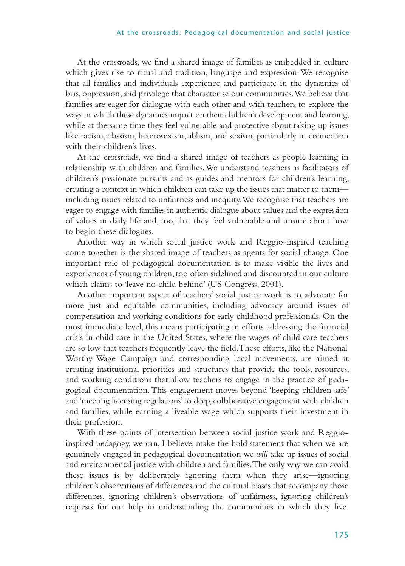At the crossroads, we find a shared image of families as embedded in culture which gives rise to ritual and tradition, language and expression. We recognise that all families and individuals experience and participate in the dynamics of bias, oppression, and privilege that characterise our communities. We believe that families are eager for dialogue with each other and with teachers to explore the ways in which these dynamics impact on their children's development and learning, while at the same time they feel vulnerable and protective about taking up issues like racism, classism, heterosexism, ablism, and sexism, particularly in connection with their children's lives.

At the crossroads, we find a shared image of teachers as people learning in relationship with children and families. We understand teachers as facilitators of children's passionate pursuits and as guides and mentors for children's learning, creating a context in which children can take up the issues that matter to them including issues related to unfairness and inequity. We recognise that teachers are eager to engage with families in authentic dialogue about values and the expression of values in daily life and, too, that they feel vulnerable and unsure about how to begin these dialogues.

Another way in which social justice work and Reggio-inspired teaching come together is the shared image of teachers as agents for social change. One important role of pedagogical documentation is to make visible the lives and experiences of young children, too often sidelined and discounted in our culture which claims to 'leave no child behind' (US Congress, 2001).

Another important aspect of teachers' social justice work is to advocate for more just and equitable communities, including advocacy around issues of compensation and working conditions for early childhood professionals. On the most immediate level, this means participating in efforts addressing the financial crisis in child care in the United States, where the wages of child care teachers are so low that teachers frequently leave the field. These efforts, like the National Worthy Wage Campaign and corresponding local movements, are aimed at creating institutional priorities and structures that provide the tools, resources, and working conditions that allow teachers to engage in the practice of pedagogical documentation. This engagement moves beyond 'keeping children safe' and 'meeting licensing regulations' to deep, collaborative engagement with children and families, while earning a liveable wage which supports their investment in their profession.

With these points of intersection between social justice work and Reggioinspired pedagogy, we can, I believe, make the bold statement that when we are genuinely engaged in pedagogical documentation we *will* take up issues of social and environmental justice with children and families. The only way we can avoid these issues is by deliberately ignoring them when they arise—ignoring children's observations of differences and the cultural biases that accompany those differences, ignoring children's observations of unfairness, ignoring children's requests for our help in understanding the communities in which they live.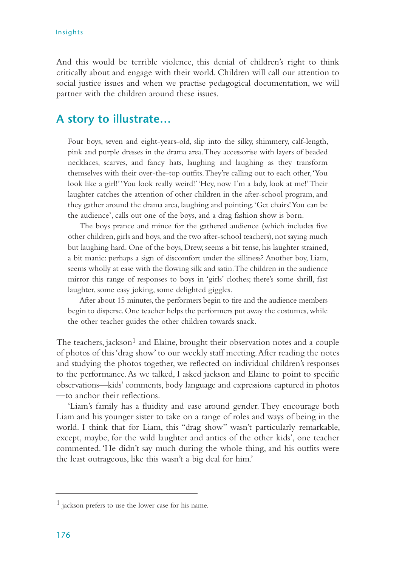And this would be terrible violence, this denial of children's right to think critically about and engage with their world. Children will call our attention to social justice issues and when we practise pedagogical documentation, we will partner with the children around these issues.

# **A story to illustrate…**

Four boys, seven and eight-years-old, slip into the silky, shimmery, calf-length, pink and purple dresses in the drama area. They accessorise with layers of beaded necklaces, scarves, and fancy hats, laughing and laughing as they transform themselves with their over-the-top outfits. They're calling out to each other, 'You look like a girl!' 'You look really weird!' 'Hey, now I'm a lady, look at me!' Their laughter catches the attention of other children in the after-school program, and they gather around the drama area, laughing and pointing. 'Get chairs! You can be the audience', calls out one of the boys, and a drag fashion show is born.

The boys prance and mince for the gathered audience (which includes five other children, girls and boys, and the two after-school teachers), not saying much but laughing hard. One of the boys, Drew, seems a bit tense, his laughter strained, a bit manic: perhaps a sign of discomfort under the silliness? Another boy, Liam, seems wholly at ease with the flowing silk and satin. The children in the audience mirror this range of responses to boys in 'girls' clothes; there's some shrill, fast laughter, some easy joking, some delighted giggles.

After about 15 minutes, the performers begin to tire and the audience members begin to disperse. One teacher helps the performers put away the costumes, while the other teacher guides the other children towards snack.

The teachers, jackson<sup>1</sup> and Elaine, brought their observation notes and a couple of photos of this 'drag show' to our weekly staff meeting. After reading the notes and studying the photos together, we reflected on individual children's responses to the performance. As we talked, I asked jackson and Elaine to point to specific observations—kids' comments, body language and expressions captured in photos —to anchor their reflections.

'Liam's family has a fluidity and ease around gender. They encourage both Liam and his younger sister to take on a range of roles and ways of being in the world. I think that for Liam, this "drag show" wasn't particularly remarkable, except, maybe, for the wild laughter and antics of the other kids', one teacher commented. 'He didn't say much during the whole thing, and his outfits were the least outrageous, like this wasn't a big deal for him.'

 $<sup>1</sup>$  jackson prefers to use the lower case for his name.</sup>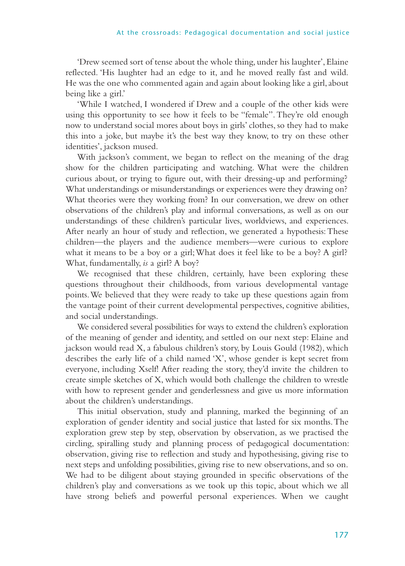'Drew seemed sort of tense about the whole thing, under his laughter', Elaine reflected. 'His laughter had an edge to it, and he moved really fast and wild. He was the one who commented again and again about looking like a girl, about being like a girl.'

'While I watched, I wondered if Drew and a couple of the other kids were using this opportunity to see how it feels to be "female". They're old enough now to understand social mores about boys in girls' clothes, so they had to make this into a joke, but maybe it's the best way they know, to try on these other identities', jackson mused.

With jackson's comment, we began to reflect on the meaning of the drag show for the children participating and watching. What were the children curious about, or trying to figure out, with their dressing-up and performing? What understandings or misunderstandings or experiences were they drawing on? What theories were they working from? In our conversation, we drew on other observations of the children's play and informal conversations, as well as on our understandings of these children's particular lives, worldviews, and experiences. After nearly an hour of study and reflection, we generated a hypothesis: These children—the players and the audience members—were curious to explore what it means to be a boy or a girl; What does it feel like to be a boy? A girl? What, fundamentally, *is* a girl? A boy?

We recognised that these children, certainly, have been exploring these questions throughout their childhoods, from various developmental vantage points. We believed that they were ready to take up these questions again from the vantage point of their current developmental perspectives, cognitive abilities, and social understandings.

We considered several possibilities for ways to extend the children's exploration of the meaning of gender and identity, and settled on our next step: Elaine and jackson would read X, a fabulous children's story, by Louis Gould (1982), which describes the early life of a child named 'X', whose gender is kept secret from everyone, including Xself! After reading the story, they'd invite the children to create simple sketches of X, which would both challenge the children to wrestle with how to represent gender and genderlessness and give us more information about the children's understandings.

This initial observation, study and planning, marked the beginning of an exploration of gender identity and social justice that lasted for six months. The exploration grew step by step, observation by observation, as we practised the circling, spiralling study and planning process of pedagogical documentation: observation, giving rise to reflection and study and hypothesising, giving rise to next steps and unfolding possibilities, giving rise to new observations, and so on. We had to be diligent about staying grounded in specific observations of the children's play and conversations as we took up this topic, about which we all have strong beliefs and powerful personal experiences. When we caught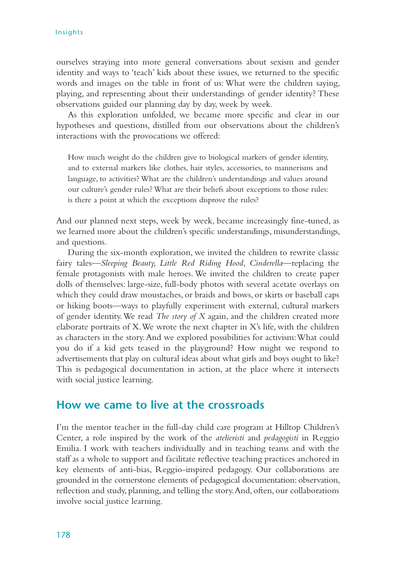ourselves straying into more general conversations about sexism and gender identity and ways to 'teach' kids about these issues, we returned to the specific words and images on the table in front of us: What were the children saying, playing, and representing about their understandings of gender identity? These observations guided our planning day by day, week by week.

As this exploration unfolded, we became more specific and clear in our hypotheses and questions, distilled from our observations about the children's interactions with the provocations we offered:

How much weight do the children give to biological markers of gender identity, and to external markers like clothes, hair styles, accessories, to mannerisms and language, to activities? What are the children's understandings and values around our culture's gender rules? What are their beliefs about exceptions to those rules: is there a point at which the exceptions disprove the rules?

And our planned next steps, week by week, became increasingly fine-tuned, as we learned more about the children's specific understandings, misunderstandings, and questions.

During the six-month exploration, we invited the children to rewrite classic fairy tales—*Sleeping Beauty, Little Red Riding Hood, Cinderella*—replacing the female protagonists with male heroes. We invited the children to create paper dolls of themselves: large-size, full-body photos with several acetate overlays on which they could draw moustaches, or braids and bows, or skirts or baseball caps or hiking boots—ways to playfully experiment with external, cultural markers of gender identity. We read *The story of X* again, and the children created more elaborate portraits of X. We wrote the next chapter in X's life, with the children as characters in the story. And we explored possibilities for activism: What could you do if a kid gets teased in the playground? How might we respond to advertisements that play on cultural ideas about what girls and boys ought to like? This is pedagogical documentation in action, at the place where it intersects with social justice learning.

## **How we came to live at the crossroads**

I'm the mentor teacher in the full-day child care program at Hilltop Children's Center, a role inspired by the work of the *atelieristi* and *pedagogisti* in Reggio Emilia. I work with teachers individually and in teaching teams and with the staff as a whole to support and facilitate reflective teaching practices anchored in key elements of anti-bias, Reggio-inspired pedagogy. Our collaborations are grounded in the cornerstone elements of pedagogical documentation: observation, reflection and study, planning, and telling the story. And, often, our collaborations involve social justice learning.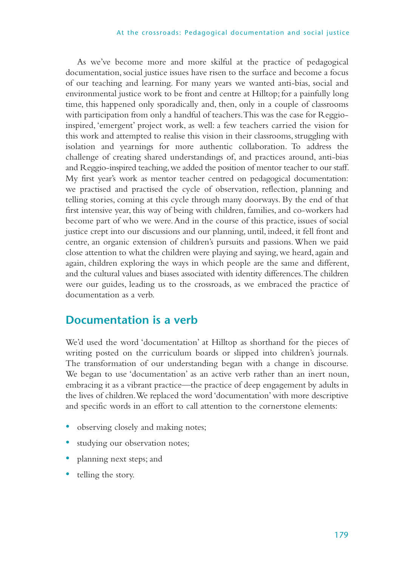As we've become more and more skilful at the practice of pedagogical documentation, social justice issues have risen to the surface and become a focus of our teaching and learning. For many years we wanted anti-bias, social and environmental justice work to be front and centre at Hilltop; for a painfully long time, this happened only sporadically and, then, only in a couple of classrooms with participation from only a handful of teachers. This was the case for Reggioinspired, 'emergent' project work, as well: a few teachers carried the vision for this work and attempted to realise this vision in their classrooms, struggling with isolation and yearnings for more authentic collaboration. To address the challenge of creating shared understandings of, and practices around, anti-bias and Reggio-inspired teaching, we added the position of mentor teacher to our staff. My first year's work as mentor teacher centred on pedagogical documentation: we practised and practised the cycle of observation, reflection, planning and telling stories, coming at this cycle through many doorways. By the end of that first intensive year, this way of being with children, families, and co-workers had become part of who we were. And in the course of this practice, issues of social justice crept into our discussions and our planning, until, indeed, it fell front and centre, an organic extension of children's pursuits and passions. When we paid close attention to what the children were playing and saying, we heard, again and again, children exploring the ways in which people are the same and different, and the cultural values and biases associated with identity differences. The children were our guides, leading us to the crossroads, as we embraced the practice of documentation as a verb.

## **Documentation is a verb**

We'd used the word 'documentation' at Hilltop as shorthand for the pieces of writing posted on the curriculum boards or slipped into children's journals. The transformation of our understanding began with a change in discourse. We began to use 'documentation' as an active verb rather than an inert noun, embracing it as a vibrant practice—the practice of deep engagement by adults in the lives of children. We replaced the word 'documentation' with more descriptive and specific words in an effort to call attention to the cornerstone elements:

- observing closely and making notes;
- studying our observation notes;
- planning next steps; and
- telling the story.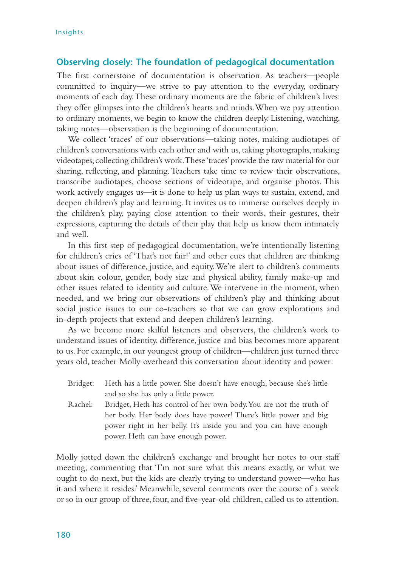## **Observing closely: The foundation of pedagogical documentation**

The first cornerstone of documentation is observation. As teachers—people committed to inquiry—we strive to pay attention to the everyday, ordinary moments of each day. These ordinary moments are the fabric of children's lives: they offer glimpses into the children's hearts and minds. When we pay attention to ordinary moments, we begin to know the children deeply. Listening, watching, taking notes—observation is the beginning of documentation.

We collect 'traces' of our observations—taking notes, making audiotapes of children's conversations with each other and with us, taking photographs, making videotapes, collecting children's work. These 'traces' provide the raw material for our sharing, reflecting, and planning. Teachers take time to review their observations, transcribe audiotapes, choose sections of videotape, and organise photos. This work actively engages us—it is done to help us plan ways to sustain, extend, and deepen children's play and learning. It invites us to immerse ourselves deeply in the children's play, paying close attention to their words, their gestures, their expressions, capturing the details of their play that help us know them intimately and well.

In this first step of pedagogical documentation, we're intentionally listening for children's cries of 'That's not fair!' and other cues that children are thinking about issues of difference, justice, and equity. We're alert to children's comments about skin colour, gender, body size and physical ability, family make-up and other issues related to identity and culture. We intervene in the moment, when needed, and we bring our observations of children's play and thinking about social justice issues to our co-teachers so that we can grow explorations and in-depth projects that extend and deepen children's learning.

As we become more skilful listeners and observers, the children's work to understand issues of identity, difference, justice and bias becomes more apparent to us. For example, in our youngest group of children—children just turned three years old, teacher Molly overheard this conversation about identity and power:

| Bridget: | Heth has a little power. She doesn't have enough, because she's little |
|----------|------------------------------------------------------------------------|
|          | and so she has only a little power.                                    |
| Rachel:  | Bridget, Heth has control of her own body. You are not the truth of    |
|          | her body. Her body does have power! There's little power and big       |
|          | power right in her belly. It's inside you and you can have enough      |
|          | power. Heth can have enough power.                                     |

Molly jotted down the children's exchange and brought her notes to our staff meeting, commenting that 'I'm not sure what this means exactly, or what we ought to do next, but the kids are clearly trying to understand power—who has it and where it resides.' Meanwhile, several comments over the course of a week or so in our group of three, four, and five-year-old children, called us to attention.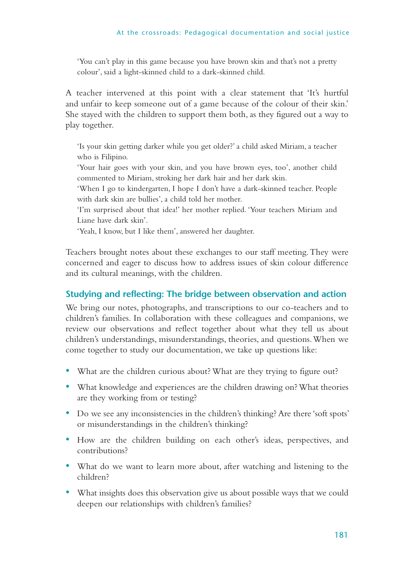#### At the crossroads: Pedagogical documentation and social justice

'You can't play in this game because you have brown skin and that's not a pretty colour', said a light-skinned child to a dark-skinned child.

A teacher intervened at this point with a clear statement that 'It's hurtful and unfair to keep someone out of a game because of the colour of their skin.' She stayed with the children to support them both, as they figured out a way to play together.

'Is your skin getting darker while you get older?' a child asked Miriam, a teacher who is Filipino.

'Your hair goes with your skin, and you have brown eyes, too', another child commented to Miriam, stroking her dark hair and her dark skin.

'When I go to kindergarten, I hope I don't have a dark-skinned teacher. People with dark skin are bullies', a child told her mother.

'I'm surprised about that idea!' her mother replied. 'Your teachers Miriam and Liane have dark skin'.

'Yeah, I know, but I like them', answered her daughter.

Teachers brought notes about these exchanges to our staff meeting. They were concerned and eager to discuss how to address issues of skin colour difference and its cultural meanings, with the children.

## **Studying and reflecting: The bridge between observation and action**

We bring our notes, photographs, and transcriptions to our co-teachers and to children's families. In collaboration with these colleagues and companions, we review our observations and reflect together about what they tell us about children's understandings, misunderstandings, theories, and questions. When we come together to study our documentation, we take up questions like:

- What are the children curious about? What are they trying to figure out?
- What knowledge and experiences are the children drawing on? What theories are they working from or testing?
- Do we see any inconsistencies in the children's thinking? Are there 'soft spots' or misunderstandings in the children's thinking?
- How are the children building on each other's ideas, perspectives, and contributions?
- What do we want to learn more about, after watching and listening to the children?
- What insights does this observation give us about possible ways that we could deepen our relationships with children's families?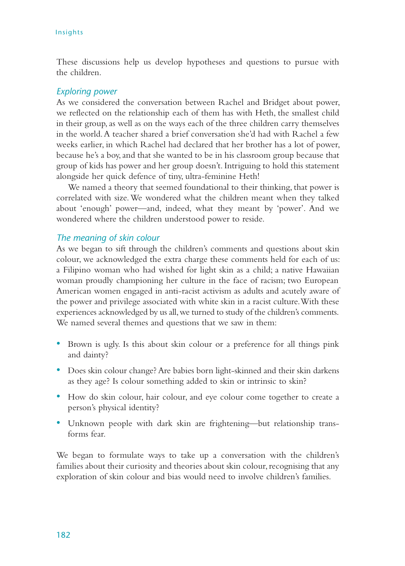These discussions help us develop hypotheses and questions to pursue with the children.

## *Exploring power*

As we considered the conversation between Rachel and Bridget about power, we reflected on the relationship each of them has with Heth, the smallest child in their group, as well as on the ways each of the three children carry themselves in the world. A teacher shared a brief conversation she'd had with Rachel a few weeks earlier, in which Rachel had declared that her brother has a lot of power, because he's a boy, and that she wanted to be in his classroom group because that group of kids has power and her group doesn't. Intriguing to hold this statement alongside her quick defence of tiny, ultra-feminine Heth!

We named a theory that seemed foundational to their thinking, that power is correlated with size. We wondered what the children meant when they talked about 'enough' power—and, indeed, what they meant by 'power'. And we wondered where the children understood power to reside.

## *The meaning of skin colour*

As we began to sift through the children's comments and questions about skin colour, we acknowledged the extra charge these comments held for each of us: a Filipino woman who had wished for light skin as a child; a native Hawaiian woman proudly championing her culture in the face of racism; two European American women engaged in anti-racist activism as adults and acutely aware of the power and privilege associated with white skin in a racist culture. With these experiences acknowledged by us all, we turned to study of the children's comments. We named several themes and questions that we saw in them:

- Brown is ugly. Is this about skin colour or a preference for all things pink and dainty?
- Does skin colour change? Are babies born light-skinned and their skin darkens as they age? Is colour something added to skin or intrinsic to skin?
- How do skin colour, hair colour, and eye colour come together to create a person's physical identity?
- Unknown people with dark skin are frightening—but relationship transforms fear.

We began to formulate ways to take up a conversation with the children's families about their curiosity and theories about skin colour, recognising that any exploration of skin colour and bias would need to involve children's families.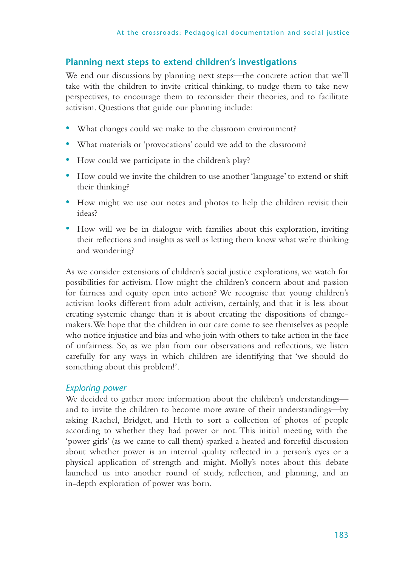## **Planning next steps to extend children's investigations**

We end our discussions by planning next steps—the concrete action that we'll take with the children to invite critical thinking, to nudge them to take new perspectives, to encourage them to reconsider their theories, and to facilitate activism. Questions that guide our planning include:

- What changes could we make to the classroom environment?
- What materials or 'provocations' could we add to the classroom?
- How could we participate in the children's play?
- How could we invite the children to use another 'language' to extend or shift their thinking?
- How might we use our notes and photos to help the children revisit their ideas?
- How will we be in dialogue with families about this exploration, inviting their reflections and insights as well as letting them know what we're thinking and wondering?

As we consider extensions of children's social justice explorations, we watch for possibilities for activism. How might the children's concern about and passion for fairness and equity open into action? We recognise that young children's activism looks different from adult activism, certainly, and that it is less about creating systemic change than it is about creating the dispositions of changemakers. We hope that the children in our care come to see themselves as people who notice injustice and bias and who join with others to take action in the face of unfairness. So, as we plan from our observations and reflections, we listen carefully for any ways in which children are identifying that 'we should do something about this problem!'.

#### *Exploring power*

We decided to gather more information about the children's understandings and to invite the children to become more aware of their understandings—by asking Rachel, Bridget, and Heth to sort a collection of photos of people according to whether they had power or not. This initial meeting with the 'power girls' (as we came to call them) sparked a heated and forceful discussion about whether power is an internal quality reflected in a person's eyes or a physical application of strength and might. Molly's notes about this debate launched us into another round of study, reflection, and planning, and an in-depth exploration of power was born.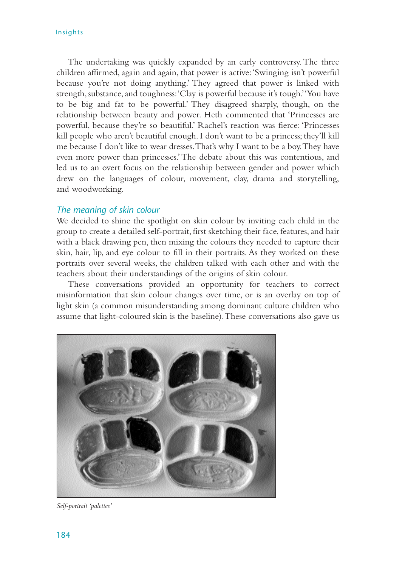#### Insights

The undertaking was quickly expanded by an early controversy. The three children affirmed, again and again, that power is active: 'Swinging isn't powerful because you're not doing anything.' They agreed that power is linked with strength, substance, and toughness: 'Clay is powerful because it's tough.' 'You have to be big and fat to be powerful.' They disagreed sharply, though, on the relationship between beauty and power. Heth commented that 'Princesses are powerful, because they're so beautiful.' Rachel's reaction was fierce: 'Princesses kill people who aren't beautiful enough. I don't want to be a princess; they'll kill me because I don't like to wear dresses. That's why I want to be a boy. They have even more power than princesses.' The debate about this was contentious, and led us to an overt focus on the relationship between gender and power which drew on the languages of colour, movement, clay, drama and storytelling, and woodworking.

#### *The meaning of skin colour*

We decided to shine the spotlight on skin colour by inviting each child in the group to create a detailed self-portrait, first sketching their face, features, and hair with a black drawing pen, then mixing the colours they needed to capture their skin, hair, lip, and eye colour to fill in their portraits. As they worked on these portraits over several weeks, the children talked with each other and with the teachers about their understandings of the origins of skin colour.

These conversations provided an opportunity for teachers to correct misinformation that skin colour changes over time, or is an overlay on top of light skin (a common misunderstanding among dominant culture children who assume that light-coloured skin is the baseline). These conversations also gave us



*Self-portrait 'palettes'*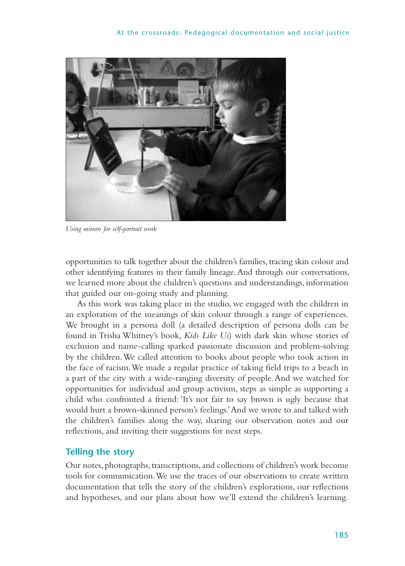

*Using mirrors for self-portrait work*

opportunities to talk together about the children's families, tracing skin colour and other identifying features in their family lineage. And through our conversations, we learned more about the children's questions and understandings, information that guided our on-going study and planning.

As this work was taking place in the studio, we engaged with the children in an exploration of the meanings of skin colour through a range of experiences. We brought in a persona doll (a detailed description of persona dolls can be found in Trisha Whitney's book, *Kids Like Us*) with dark skin whose stories of exclusion and name-calling sparked passionate discussion and problem-solving by the children. We called attention to books about people who took action in the face of racism. We made a regular practice of taking field trips to a beach in a part of the city with a wide-ranging diversity of people. And we watched for opportunities for individual and group activism, steps as simple as supporting a child who confronted a friend: 'It's not fair to say brown is ugly because that would hurt a brown-skinned person's feelings.' And we wrote to and talked with the children's families along the way, sharing our observation notes and our reflections, and inviting their suggestions for next steps.

## **Telling the story**

Our notes, photographs, transcriptions, and collections of children's work become tools for communication. We use the traces of our observations to create written documentation that tells the story of the children's explorations, our reflections and hypotheses, and our plans about how we'll extend the children's learning.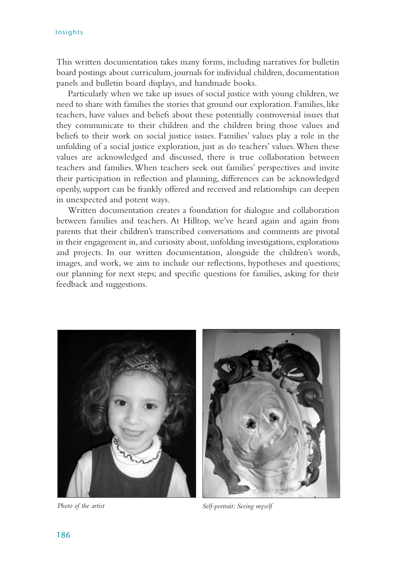#### Insights

This written documentation takes many forms, including narratives for bulletin board postings about curriculum, journals for individual children, documentation panels and bulletin board displays, and handmade books.

Particularly when we take up issues of social justice with young children, we need to share with families the stories that ground our exploration. Families, like teachers, have values and beliefs about these potentially controversial issues that they communicate to their children and the children bring those values and beliefs to their work on social justice issues. Families' values play a role in the unfolding of a social justice exploration, just as do teachers' values. When these values are acknowledged and discussed, there is true collaboration between teachers and families. When teachers seek out families' perspectives and invite their participation in reflection and planning, differences can be acknowledged openly, support can be frankly offered and received and relationships can deepen in unexpected and potent ways.

Written documentation creates a foundation for dialogue and collaboration between families and teachers. At Hilltop, we've heard again and again from parents that their children's transcribed conversations and comments are pivotal in their engagement in, and curiosity about, unfolding investigations, explorations and projects. In our written documentation, alongside the children's words, images, and work, we aim to include our reflections, hypotheses and questions; our planning for next steps; and specific questions for families, asking for their feedback and suggestions.





*Photo of the artist Self-portrait: Seeing myself*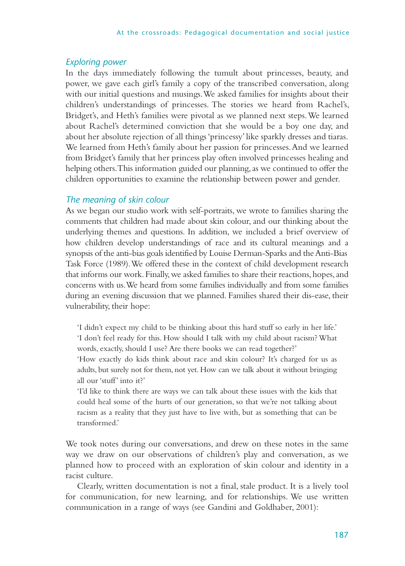#### *Exploring power*

In the days immediately following the tumult about princesses, beauty, and power, we gave each girl's family a copy of the transcribed conversation, along with our initial questions and musings. We asked families for insights about their children's understandings of princesses. The stories we heard from Rachel's, Bridget's, and Heth's families were pivotal as we planned next steps. We learned about Rachel's determined conviction that she would be a boy one day, and about her absolute rejection of all things 'princessy' like sparkly dresses and tiaras. We learned from Heth's family about her passion for princesses. And we learned from Bridget's family that her princess play often involved princesses healing and helping others. This information guided our planning, as we continued to offer the children opportunities to examine the relationship between power and gender.

#### *The meaning of skin colour*

As we began our studio work with self-portraits, we wrote to families sharing the comments that children had made about skin colour, and our thinking about the underlying themes and questions. In addition, we included a brief overview of how children develop understandings of race and its cultural meanings and a synopsis of the anti-bias goals identified by Louise Derman-Sparks and the Anti-Bias Task Force (1989). We offered these in the context of child development research that informs our work. Finally, we asked families to share their reactions, hopes, and concerns with us. We heard from some families individually and from some families during an evening discussion that we planned. Families shared their dis-ease, their vulnerability, their hope:

'I didn't expect my child to be thinking about this hard stuff so early in her life.' 'I don't feel ready for this. How should I talk with my child about racism? What words, exactly, should I use? Are there books we can read together?'

'How exactly do kids think about race and skin colour? It's charged for us as adults, but surely not for them, not yet. How can we talk about it without bringing all our 'stuff' into it?'

'I'd like to think there are ways we can talk about these issues with the kids that could heal some of the hurts of our generation, so that we're not talking about racism as a reality that they just have to live with, but as something that can be transformed.'

We took notes during our conversations, and drew on these notes in the same way we draw on our observations of children's play and conversation, as we planned how to proceed with an exploration of skin colour and identity in a racist culture.

Clearly, written documentation is not a final, stale product. It is a lively tool for communication, for new learning, and for relationships. We use written communication in a range of ways (see Gandini and Goldhaber, 2001):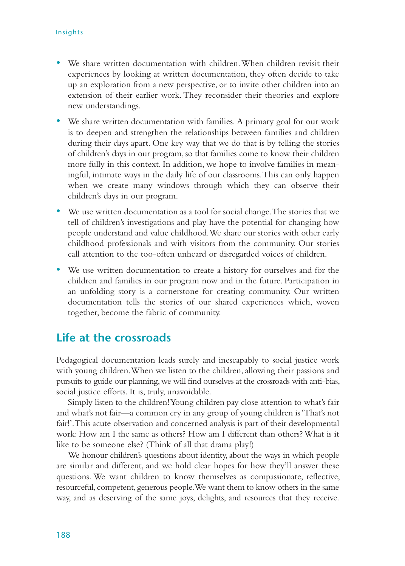- We share written documentation with children. When children revisit their experiences by looking at written documentation, they often decide to take up an exploration from a new perspective, or to invite other children into an extension of their earlier work. They reconsider their theories and explore new understandings.
- We share written documentation with families. A primary goal for our work is to deepen and strengthen the relationships between families and children during their days apart. One key way that we do that is by telling the stories of children's days in our program, so that families come to know their children more fully in this context. In addition, we hope to involve families in meaningful, intimate ways in the daily life of our classrooms. This can only happen when we create many windows through which they can observe their children's days in our program.
- We use written documentation as a tool for social change. The stories that we tell of children's investigations and play have the potential for changing how people understand and value childhood. We share our stories with other early childhood professionals and with visitors from the community. Our stories call attention to the too-often unheard or disregarded voices of children.
- We use written documentation to create a history for ourselves and for the children and families in our program now and in the future. Participation in an unfolding story is a cornerstone for creating community. Our written documentation tells the stories of our shared experiences which, woven together, become the fabric of community.

# **Life at the crossroads**

Pedagogical documentation leads surely and inescapably to social justice work with young children. When we listen to the children, allowing their passions and pursuits to guide our planning, we will find ourselves at the crossroads with anti-bias, social justice efforts. It is, truly, unavoidable.

Simply listen to the children! Young children pay close attention to what's fair and what's not fair—a common cry in any group of young children is 'That's not fair!'. This acute observation and concerned analysis is part of their developmental work: How am I the same as others? How am I different than others? What is it like to be someone else? (Think of all that drama play!)

We honour children's questions about identity, about the ways in which people are similar and different, and we hold clear hopes for how they'll answer these questions. We want children to know themselves as compassionate, reflective, resourceful, competent, generous people. We want them to know others in the same way, and as deserving of the same joys, delights, and resources that they receive.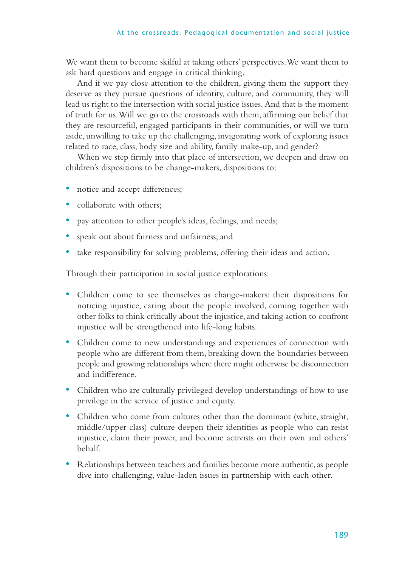We want them to become skilful at taking others' perspectives. We want them to ask hard questions and engage in critical thinking.

And if we pay close attention to the children, giving them the support they deserve as they pursue questions of identity, culture, and community, they will lead us right to the intersection with social justice issues. And that is the moment of truth for us. Will we go to the crossroads with them, affirming our belief that they are resourceful, engaged participants in their communities, or will we turn aside, unwilling to take up the challenging, invigorating work of exploring issues related to race, class, body size and ability, family make-up, and gender?

When we step firmly into that place of intersection, we deepen and draw on children's dispositions to be change-makers, dispositions to:

- notice and accept differences;
- collaborate with others;
- pay attention to other people's ideas, feelings, and needs;
- speak out about fairness and unfairness; and
- take responsibility for solving problems, offering their ideas and action.

Through their participation in social justice explorations:

- Children come to see themselves as change-makers: their dispositions for noticing injustice, caring about the people involved, coming together with other folks to think critically about the injustice, and taking action to confront injustice will be strengthened into life-long habits.
- Children come to new understandings and experiences of connection with people who are different from them, breaking down the boundaries between people and growing relationships where there might otherwise be disconnection and indifference.
- Children who are culturally privileged develop understandings of how to use privilege in the service of justice and equity.
- Children who come from cultures other than the dominant (white, straight, middle/upper class) culture deepen their identities as people who can resist injustice, claim their power, and become activists on their own and others' behalf.
- Relationships between teachers and families become more authentic, as people dive into challenging, value-laden issues in partnership with each other.